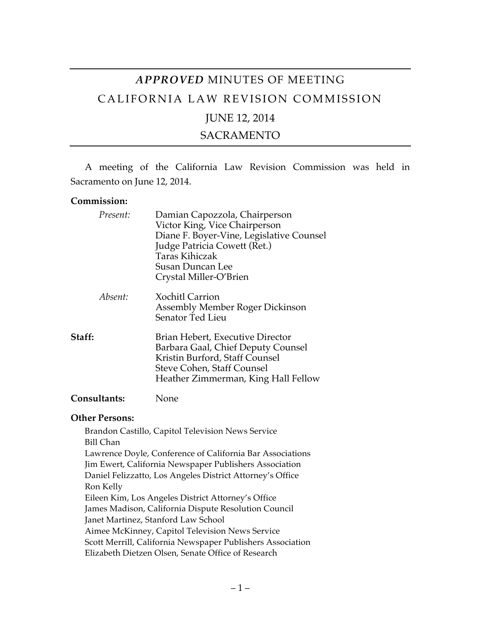# *APPROVED* MINUTES OF MEETING CALIFORNIA LAW REVISION COMMISSION JUNE 12, 2014

SACRAMENTO

A meeting of the California Law Revision Commission was held in Sacramento on June 12, 2014.

#### **Commission:**

|        | Present: | Damian Capozzola, Chairperson<br>Victor King, Vice Chairperson<br>Diane F. Boyer-Vine, Legislative Counsel<br>Judge Patricia Cowett (Ret.)<br><b>Taras Kihiczak</b><br>Susan Duncan Lee<br>Crystal Miller-O'Brien |
|--------|----------|-------------------------------------------------------------------------------------------------------------------------------------------------------------------------------------------------------------------|
|        | Absent:  | <b>Xochitl Carrion</b><br>Assembly Member Roger Dickinson<br>Senator Ted Lieu                                                                                                                                     |
| Staff: |          | Brian Hebert, Executive Director<br>Barbara Gaal, Chief Deputy Counsel<br>Kristin Burford, Staff Counsel<br>Steve Cohen, Staff Counsel<br>Heather Zimmerman, King Hall Fellow                                     |
|        |          |                                                                                                                                                                                                                   |

## **Consultants:** None

#### **Other Persons:**

Brandon Castillo, Capitol Television News Service Bill Chan Lawrence Doyle, Conference of California Bar Associations Jim Ewert, California Newspaper Publishers Association Daniel Felizzatto, Los Angeles District Attorney's Office Ron Kelly Eileen Kim, Los Angeles District Attorney's Office James Madison, California Dispute Resolution Council Janet Martinez, Stanford Law School Aimee McKinney, Capitol Television News Service Scott Merrill, California Newspaper Publishers Association Elizabeth Dietzen Olsen, Senate Office of Research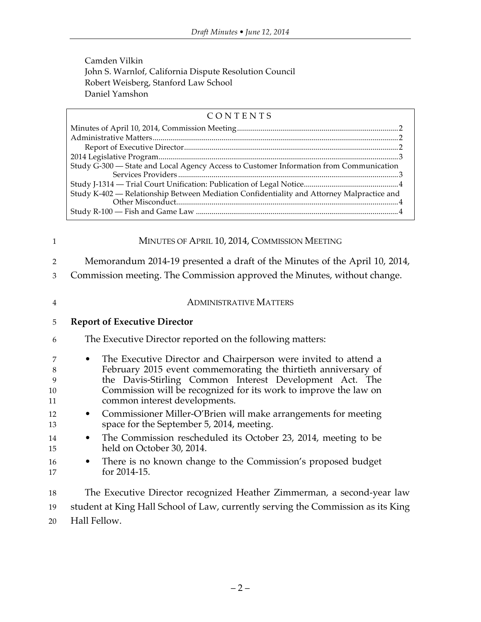Camden Vilkin John S. Warnlof, California Dispute Resolution Council Robert Weisberg, Stanford Law School Daniel Yamshon

### CONTENTS

| Study G-300 - State and Local Agency Access to Customer Information from Communication    |  |  |  |
|-------------------------------------------------------------------------------------------|--|--|--|
|                                                                                           |  |  |  |
| Study K-402 - Relationship Between Mediation Confidentiality and Attorney Malpractice and |  |  |  |
|                                                                                           |  |  |  |

| $\mathbf{1}$                                                | MINUTES OF APRIL 10, 2014, COMMISSION MEETING                                                                                                                                                                                                                                                                                                                                                                                                                                                                                                                                                                                               |  |  |  |  |
|-------------------------------------------------------------|---------------------------------------------------------------------------------------------------------------------------------------------------------------------------------------------------------------------------------------------------------------------------------------------------------------------------------------------------------------------------------------------------------------------------------------------------------------------------------------------------------------------------------------------------------------------------------------------------------------------------------------------|--|--|--|--|
| 2<br>3                                                      | Memorandum 2014-19 presented a draft of the Minutes of the April 10, 2014,<br>Commission meeting. The Commission approved the Minutes, without change.                                                                                                                                                                                                                                                                                                                                                                                                                                                                                      |  |  |  |  |
| $\overline{4}$                                              | <b>ADMINISTRATIVE MATTERS</b>                                                                                                                                                                                                                                                                                                                                                                                                                                                                                                                                                                                                               |  |  |  |  |
| 5                                                           | <b>Report of Executive Director</b>                                                                                                                                                                                                                                                                                                                                                                                                                                                                                                                                                                                                         |  |  |  |  |
| 6                                                           | The Executive Director reported on the following matters:                                                                                                                                                                                                                                                                                                                                                                                                                                                                                                                                                                                   |  |  |  |  |
| 7<br>8<br>9<br>10<br>11<br>12<br>13<br>14<br>15<br>16<br>17 | The Executive Director and Chairperson were invited to attend a<br>$\bullet$<br>February 2015 event commemorating the thirtieth anniversary of<br>the Davis-Stirling Common Interest Development Act. The<br>Commission will be recognized for its work to improve the law on<br>common interest developments.<br>Commissioner Miller-O'Brien will make arrangements for meeting<br>$\bullet$<br>space for the September 5, 2014, meeting.<br>The Commission rescheduled its October 23, 2014, meeting to be<br>$\bullet$<br>held on October 30, 2014.<br>There is no known change to the Commission's proposed budget<br>٠<br>for 2014-15. |  |  |  |  |
| 18<br>19<br>20                                              | The Executive Director recognized Heather Zimmerman, a second-year law<br>student at King Hall School of Law, currently serving the Commission as its King<br>Hall Fellow.                                                                                                                                                                                                                                                                                                                                                                                                                                                                  |  |  |  |  |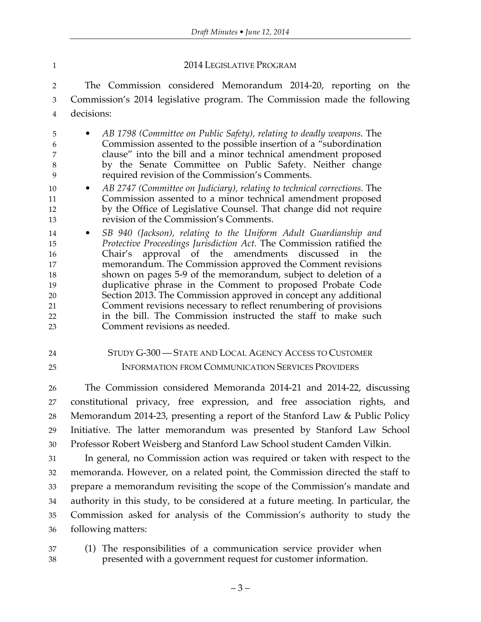#### 2014 LEGISLATIVE PROGRAM

 The Commission considered Memorandum 2014-20, reporting on the Commission's 2014 legislative program. The Commission made the following decisions:

 • *AB 1798 (Committee on Public Safety), relating to deadly weapons.* The Commission assented to the possible insertion of a "subordination clause" into the bill and a minor technical amendment proposed by the Senate Committee on Public Safety. Neither change required revision of the Commission's Comments.

- *AB 2747 (Committee on Judiciary), relating to technical corrections.* The Commission assented to a minor technical amendment proposed by the Office of Legislative Counsel. That change did not require revision of the Commission's Comments.
- *SB 940 (Jackson), relating to the Uniform Adult Guardianship and Protective Proceedings Jurisdiction Act.* The Commission ratified the Chair's approval of the amendments discussed in the memorandum. The Commission approved the Comment revisions shown on pages 5-9 of the memorandum, subject to deletion of a duplicative phrase in the Comment to proposed Probate Code Section 2013. The Commission approved in concept any additional Comment revisions necessary to reflect renumbering of provisions in the bill. The Commission instructed the staff to make such Comment revisions as needed.
- STUDY G-300 STATE AND LOCAL AGENCY ACCESS TO CUSTOMER INFORMATION FROM COMMUNICATION SERVICES PROVIDERS

 The Commission considered Memoranda 2014-21 and 2014-22, discussing constitutional privacy, free expression, and free association rights, and Memorandum 2014-23, presenting a report of the Stanford Law & Public Policy Initiative. The latter memorandum was presented by Stanford Law School Professor Robert Weisberg and Stanford Law School student Camden Vilkin.

 In general, no Commission action was required or taken with respect to the memoranda. However, on a related point, the Commission directed the staff to prepare a memorandum revisiting the scope of the Commission's mandate and authority in this study, to be considered at a future meeting. In particular, the Commission asked for analysis of the Commission's authority to study the following matters:

- 
- (1) The responsibilities of a communication service provider when presented with a government request for customer information.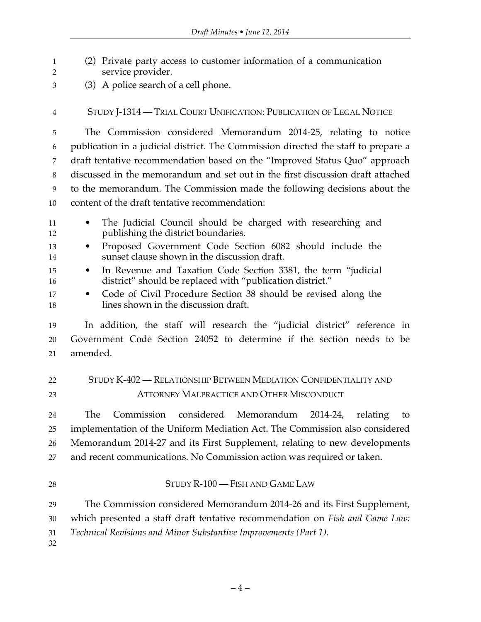(2) Private party access to customer information of a communication service provider. (3) A police search of a cell phone. STUDY J-1314 — TRIAL COURT UNIFICATION: PUBLICATION OF LEGAL NOTICE The Commission considered Memorandum 2014-25, relating to notice publication in a judicial district. The Commission directed the staff to prepare a draft tentative recommendation based on the "Improved Status Quo" approach discussed in the memorandum and set out in the first discussion draft attached to the memorandum. The Commission made the following decisions about the content of the draft tentative recommendation: • The Judicial Council should be charged with researching and publishing the district boundaries. • Proposed Government Code Section 6082 should include the sunset clause shown in the discussion draft. • In Revenue and Taxation Code Section 3381, the term "judicial district" should be replaced with "publication district." • Code of Civil Procedure Section 38 should be revised along the lines shown in the discussion draft. In addition, the staff will research the "judicial district" reference in Government Code Section 24052 to determine if the section needs to be amended. STUDY K-402 — RELATIONSHIP BETWEEN MEDIATION CONFIDENTIALITY AND ATTORNEY MALPRACTICE AND OTHER MISCONDUCT The Commission considered Memorandum 2014-24, relating to implementation of the Uniform Mediation Act. The Commission also considered Memorandum 2014-27 and its First Supplement, relating to new developments and recent communications. No Commission action was required or taken. 28 STUDY R-100 — FISH AND GAME LAW The Commission considered Memorandum 2014-26 and its First Supplement, which presented a staff draft tentative recommendation on *Fish and Game Law: Technical Revisions and Minor Substantive Improvements (Part 1)*.